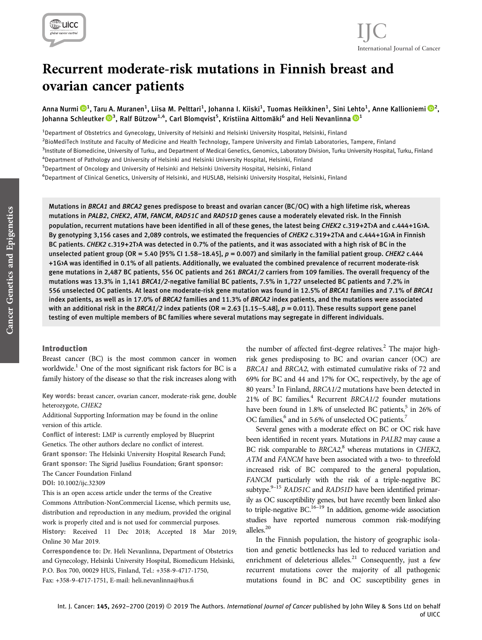

## Recurrent moderate-risk mutations in Finnish breast and ovarian cancer patients

Anna Nurmi ��<sup>1</sup>, Taru A. Muranen<sup>1</sup>, Liisa M. Pelttari<sup>1</sup>, Johanna I. Kiiski<sup>1</sup>, Tuomas Heikkinen<sup>1</sup>, Sini Lehto<sup>1</sup>, Anne Kallioniemi ��<sup>[2](https://orcid.org/0000-0003-3552-8158)</sup>, Johanna Schleutker $\mathbf{\mathbb{D}}^{3}$ , Ralf Bützow $^{1,4}$ , Carl Blomqvist $^{5}$ , Kristiina Aittomäki $^{6}$  and Heli Nevanlinna  $\mathbf{\mathbb{D}}^{1}$ 

<sup>1</sup>Department of Obstetrics and Gynecology, University of Helsinki and Helsinki University Hospital, Helsinki, Finland

<sup>2</sup>BioMediTech Institute and Faculty of Medicine and Health Technology, Tampere University and Fimlab Laboratories, Tampere, Finland

<sub>.</sub><br><sup>3</sup>Institute of Biomedicine, University of Turku, and Department of Medical Genetics, Genomics, Laboratory Division, Turku University Hospital, Turku, Finland

4 Department of Pathology and University of Helsinki and Helsinki University Hospital, Helsinki, Finland

5 Department of Oncology and University of Helsinki and Helsinki University Hospital, Helsinki, Finland

<sup>6</sup>Department of Clinical Genetics, University of Helsinki, and HUSLAB, Helsinki University Hospital, Helsinki, Finland

Mutations in BRCA1 and BRCA2 genes predispose to breast and ovarian cancer (BC/OC) with a high lifetime risk, whereas mutations in PALB2, CHEK2, ATM, FANCM, RAD51C and RAD51D genes cause a moderately elevated risk. In the Finnish population, recurrent mutations have been identified in all of these genes, the latest being CHEK2 c.319+2T>A and c.444+1G>A. By genotyping 3,156 cases and 2,089 controls, we estimated the frequencies of CHEK2 c.319+2T>A and c.444+1G>A in Finnish BC patients. CHEK2 c.319+2T>A was detected in 0.7% of the patients, and it was associated with a high risk of BC in the unselected patient group (OR = 5.40 [95% CI 1.58–18.45],  $p = 0.007$ ) and similarly in the familial patient group. CHEK2 c.444 +1G>A was identified in 0.1% of all patients. Additionally, we evaluated the combined prevalence of recurrent moderate-risk gene mutations in 2,487 BC patients, 556 OC patients and 261 BRCA1/2 carriers from 109 families. The overall frequency of the mutations was 13.3% in 1,141 BRCA1/2-negative familial BC patients, 7.5% in 1,727 unselected BC patients and 7.2% in 556 unselected OC patients. At least one moderate-risk gene mutation was found in 12.5% of BRCA1 families and 7.1% of BRCA1 index patients, as well as in 17.0% of BRCA2 families and 11.3% of BRCA2 index patients, and the mutations were associated with an additional risk in the BRCA1/2 index patients (OR = 2.63 [1.15-5.48],  $p = 0.011$ ). These results support gene panel testing of even multiple members of BC families where several mutations may segregate in different individuals.

#### Introduction

Breast cancer (BC) is the most common cancer in women worldwide.<sup>1</sup> One of the most significant risk factors for BC is a family history of the disease so that the risk increases along with

Key words: breast cancer, ovarian cancer, moderate-risk gene, double heterozygote, CHEK2

Additional Supporting Information may be found in the online version of this article.

Conflict of interest: LMP is currently employed by Blueprint Genetics. The other authors declare no conflict of interest. Grant sponsor: The Helsinki University Hospital Research Fund; Grant sponsor: The Sigrid Jusélius Foundation; Grant sponsor: The Cancer Foundation Finland

DOI: 10.1002/ijc.32309

This is an open access article under the terms of the [Creative](http://creativecommons.org/licenses/by-nc/4.0/) [Commons Attribution-NonCommercial](http://creativecommons.org/licenses/by-nc/4.0/) License, which permits use, distribution and reproduction in any medium, provided the original work is properly cited and is not used for commercial purposes. History: Received 11 Dec 2018; Accepted 18 Mar 2019; Online 30 Mar 2019.

Correspondence to: Dr. Heli Nevanlinna, Department of Obstetrics and Gynecology, Helsinki University Hospital, Biomedicum Helsinki, P.O. Box 700, 00029 HUS, Finland, Tel.: +358-9-4717-1750, Fax: +358-9-4717-1751, E-mail: [heli.nevanlinna@hus.](mailto:heli.nevanlinna@hus.fi)fi

the number of affected first-degree relatives.<sup>2</sup> The major highrisk genes predisposing to BC and ovarian cancer (OC) are BRCA1 and BRCA2, with estimated cumulative risks of 72 and 69% for BC and 44 and 17% for OC, respectively, by the age of 80 years.<sup>3</sup> In Finland, *BRCA1/2* mutations have been detected in 21% of BC families.<sup>4</sup> Recurrent BRCA1/2 founder mutations have been found in 1.8% of unselected BC patients,<sup>5</sup> in 26% of OC families,<sup>6</sup> and in 5.6% of unselected OC patients.<sup>7</sup>

Several genes with a moderate effect on BC or OC risk have been identified in recent years. Mutations in PALB2 may cause a BC risk comparable to BRCA2,<sup>8</sup> whereas mutations in CHEK2, ATM and FANCM have been associated with a two- to threefold increased risk of BC compared to the general population, FANCM particularly with the risk of a triple-negative BC subtype.<sup>9-15</sup> RAD51C and RAD51D have been identified primarily as OC susceptibility genes, but have recently been linked also to triple-negative BC.<sup>16–19</sup> In addition, genome-wide association studies have reported numerous common risk-modifying alleles.20

In the Finnish population, the history of geographic isolation and genetic bottlenecks has led to reduced variation and enrichment of deleterious alleles.<sup>21</sup> Consequently, just a few recurrent mutations cover the majority of all pathogenic mutations found in BC and OC susceptibility genes in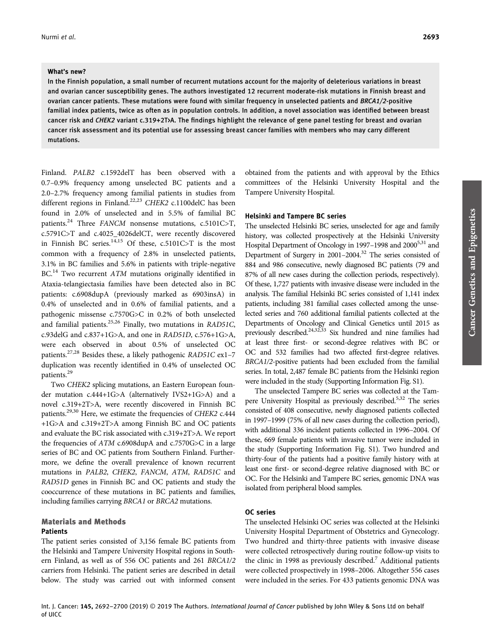#### What's new?

In the Finnish population, a small number of recurrent mutations account for the majority of deleterious variations in breast and ovarian cancer susceptibility genes. The authors investigated 12 recurrent moderate-risk mutations in Finnish breast and ovarian cancer patients. These mutations were found with similar frequency in unselected patients and BRCA1/2-positive familial index patients, twice as often as in population controls. In addition, a novel association was identified between breast cancer risk and CHEK2 variant c.319+2T>A. The findings highlight the relevance of gene panel testing for breast and ovarian cancer risk assessment and its potential use for assessing breast cancer families with members who may carry different mutations.

Finland. PALB2 c.1592delT has been observed with a 0.7–0.9% frequency among unselected BC patients and a 2.0–2.7% frequency among familial patients in studies from different regions in Finland.<sup>22,23</sup> CHEK2 c.1100delC has been found in 2.0% of unselected and in 5.5% of familial BC patients.<sup>24</sup> Three FANCM nonsense mutations, c.5101C>T, c.5791C>T and c.4025\_4026delCT, were recently discovered in Finnish BC series. $14,15$  Of these, c.5101C>T is the most common with a frequency of 2.8% in unselected patients, 3.1% in BC families and 5.6% in patients with triple-negative BC.<sup>14</sup> Two recurrent ATM mutations originally identified in Ataxia-telangiectasia families have been detected also in BC patients: c.6908dupA (previously marked as 6903insA) in 0.4% of unselected and in 0.6% of familial patients, and a pathogenic missense c.7570G>C in 0.2% of both unselected and familial patients.<sup>25,26</sup> Finally, two mutations in RAD51C, c.93delG and c.837+1G>A, and one in RAD51D, c.576+1G>A, were each observed in about 0.5% of unselected OC patients.<sup>27,28</sup> Besides these, a likely pathogenic RAD51C ex1-7 duplication was recently identified in 0.4% of unselected OC patients.<sup>29</sup>

Two CHEK2 splicing mutations, an Eastern European founder mutation c.444+1G>A (alternatively IVS2+1G>A) and a novel c.319+2T>A, were recently discovered in Finnish BC patients.<sup>29,30</sup> Here, we estimate the frequencies of CHEK2 c.444 +1G>A and c.319+2T>A among Finnish BC and OC patients and evaluate the BC risk associated with c.319+2T>A. We report the frequencies of ATM c.6908dupA and c.7570G>C in a large series of BC and OC patients from Southern Finland. Furthermore, we define the overall prevalence of known recurrent mutations in PALB2, CHEK2, FANCM, ATM, RAD51C and RAD51D genes in Finnish BC and OC patients and study the cooccurrence of these mutations in BC patients and families, including families carrying BRCA1 or BRCA2 mutations.

### Materials and Methods

#### Patients

The patient series consisted of 3,156 female BC patients from the Helsinki and Tampere University Hospital regions in Southern Finland, as well as of 556 OC patients and 261 BRCA1/2 carriers from Helsinki. The patient series are described in detail below. The study was carried out with informed consent

obtained from the patients and with approval by the Ethics committees of the Helsinki University Hospital and the Tampere University Hospital.

#### Helsinki and Tampere BC series

The unselected Helsinki BC series, unselected for age and family history, was collected prospectively at the Helsinki University Hospital Department of Oncology in 1997–1998 and 2000<sup>5,31</sup> and Department of Surgery in 2001–2004.<sup>32</sup> The series consisted of 884 and 986 consecutive, newly diagnosed BC patients (79 and 87% of all new cases during the collection periods, respectively). Of these, 1,727 patients with invasive disease were included in the analysis. The familial Helsinki BC series consisted of 1,141 index patients, including 381 familial cases collected among the unselected series and 760 additional familial patients collected at the Departments of Oncology and Clinical Genetics until 2015 as previously described.<sup>24,32,33</sup> Six hundred and nine families had at least three first- or second-degree relatives with BC or OC and 532 families had two affected first-degree relatives. BRCA1/2-positive patients had been excluded from the familial series. In total, 2,487 female BC patients from the Helsinki region were included in the study (Supporting Information Fig. S1).

The unselected Tampere BC series was collected at the Tampere University Hospital as previously described.<sup>5,32</sup> The series consisted of 408 consecutive, newly diagnosed patients collected in 1997–1999 (75% of all new cases during the collection period), with additional 336 incident patients collected in 1996–2004. Of these, 669 female patients with invasive tumor were included in the study (Supporting Information Fig. S1). Two hundred and thirty-four of the patients had a positive family history with at least one first- or second-degree relative diagnosed with BC or OC. For the Helsinki and Tampere BC series, genomic DNA was isolated from peripheral blood samples.

#### OC series

The unselected Helsinki OC series was collected at the Helsinki University Hospital Department of Obstetrics and Gynecology. Two hundred and thirty-three patients with invasive disease were collected retrospectively during routine follow-up visits to the clinic in 1998 as previously described.<sup>7</sup> Additional patients were collected prospectively in 1998–2006. Altogether 556 cases were included in the series. For 433 patients genomic DNA was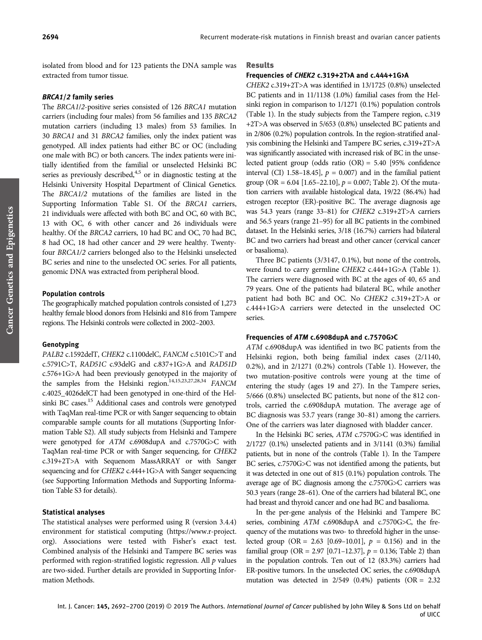isolated from blood and for 123 patients the DNA sample was extracted from tumor tissue.

#### BRCA1/2 family series

The BRCA1/2-positive series consisted of 126 BRCA1 mutation carriers (including four males) from 56 families and 135 BRCA2 mutation carriers (including 13 males) from 53 families. In 30 BRCA1 and 31 BRCA2 families, only the index patient was genotyped. All index patients had either BC or OC (including one male with BC) or both cancers. The index patients were initially identified from the familial or unselected Helsinki BC series as previously described, $4,5$  or in diagnostic testing at the Helsinki University Hospital Department of Clinical Genetics. The BRCA1/2 mutations of the families are listed in the Supporting Information Table S1. Of the BRCA1 carriers, 21 individuals were affected with both BC and OC, 60 with BC, 13 with OC, 6 with other cancer and 26 individuals were healthy. Of the BRCA2 carriers, 10 had BC and OC, 70 had BC, 8 had OC, 18 had other cancer and 29 were healthy. Twentyfour BRCA1/2 carriers belonged also to the Helsinki unselected BC series and nine to the unselected OC series. For all patients, genomic DNA was extracted from peripheral blood.

#### Population controls

The geographically matched population controls consisted of 1,273 healthy female blood donors from Helsinki and 816 from Tampere regions. The Helsinki controls were collected in 2002–2003.

#### Genotyping

PALB2 c.1592delT, CHEK2 c.1100delC, FANCM c.5101C>T and c.5791C>T, RAD51C c.93delG and c.837+1G>A and RAD51D c.576+1G>A had been previously genotyped in the majority of the samples from the Helsinki region.<sup>14,15,23,27,28,34</sup> FANCM c.4025\_4026delCT had been genotyped in one-third of the Helsinki BC cases.<sup>15</sup> Additional cases and controls were genotyped with TaqMan real-time PCR or with Sanger sequencing to obtain comparable sample counts for all mutations (Supporting Information Table S2). All study subjects from Helsinki and Tampere were genotyped for ATM c.6908dupA and c.7570G>C with TaqMan real-time PCR or with Sanger sequencing, for CHEK2 c.319+2T>A with Sequenom MassARRAY or with Sanger sequencing and for CHEK2 c.444+1G>A with Sanger sequencing (see Supporting Information Methods and Supporting Information Table S3 for details).

#### Statistical analyses

The statistical analyses were performed using R (version 3.4.4) environment for statistical computing [\(https://www.r-project.](https://www.r-project.org) [org\)](https://www.r-project.org). Associations were tested with Fisher's exact test. Combined analysis of the Helsinki and Tampere BC series was performed with region-stratified logistic regression. All  $p$  values are two-sided. Further details are provided in Supporting Information Methods.

#### Results

#### Frequencies of CHEK2 c.319+2T>A and c.444+1G>A

CHEK2 c.319+2T>A was identified in 13/1725 (0.8%) unselected BC patients and in 11/1138 (1.0%) familial cases from the Helsinki region in comparison to 1/1271 (0.1%) population controls (Table 1). In the study subjects from the Tampere region, c.319 +2T>A was observed in 5/653 (0.8%) unselected BC patients and in 2/806 (0.2%) population controls. In the region-stratified analysis combining the Helsinki and Tampere BC series, c.319+2T>A was significantly associated with increased risk of BC in the unselected patient group (odds ratio (OR) = 5.40 [95% confidence interval (CI) 1.58–18.45],  $p = 0.007$ ) and in the familial patient group (OR = 6.04 [1.65–22.10],  $p = 0.007$ ; Table 2). Of the mutation carriers with available histological data, 19/22 (86.4%) had estrogen receptor (ER)-positive BC. The average diagnosis age was 54.3 years (range 33–81) for CHEK2 c.319+2T>A carriers and 56.5 years (range 21–95) for all BC patients in the combined dataset. In the Helsinki series, 3/18 (16.7%) carriers had bilateral BC and two carriers had breast and other cancer (cervical cancer or basalioma).

Three BC patients (3/3147, 0.1%), but none of the controls, were found to carry germline CHEK2 c.444+1G>A (Table 1). The carriers were diagnosed with BC at the ages of 40, 65 and 79 years. One of the patients had bilateral BC, while another patient had both BC and OC. No CHEK2 c.319+2T>A or c.444+1G>A carriers were detected in the unselected OC series.

#### Frequencies of ATM c.6908dupA and c.7570G>C

ATM c.6908dupA was identified in two BC patients from the Helsinki region, both being familial index cases (2/1140, 0.2%), and in 2/1271 (0.2%) controls (Table 1). However, the two mutation-positive controls were young at the time of entering the study (ages 19 and 27). In the Tampere series, 5/666 (0.8%) unselected BC patients, but none of the 812 controls, carried the c.6908dupA mutation. The average age of BC diagnosis was 53.7 years (range 30–81) among the carriers. One of the carriers was later diagnosed with bladder cancer.

In the Helsinki BC series, ATM c.7570G>C was identified in 2/1727 (0.1%) unselected patients and in 3/1141 (0.3%) familial patients, but in none of the controls (Table 1). In the Tampere BC series, c.7570G>C was not identified among the patients, but it was detected in one out of 815 (0.1%) population controls. The average age of BC diagnosis among the c.7570G>C carriers was 50.3 years (range 28–61). One of the carriers had bilateral BC, one had breast and thyroid cancer and one had BC and basalioma.

In the per-gene analysis of the Helsinki and Tampere BC series, combining ATM c.6908dupA and c.7570G>C, the frequency of the mutations was two- to threefold higher in the unselected group (OR = 2.63 [0.69–10.01],  $p = 0.156$ ) and in the familial group (OR = 2.97 [0.71–12.37],  $p = 0.136$ ; Table 2) than in the population controls. Ten out of 12 (83.3%) carriers had ER-positive tumors. In the unselected OC series, the c.6908dupA mutation was detected in  $2/549$  (0.4%) patients (OR = 2.32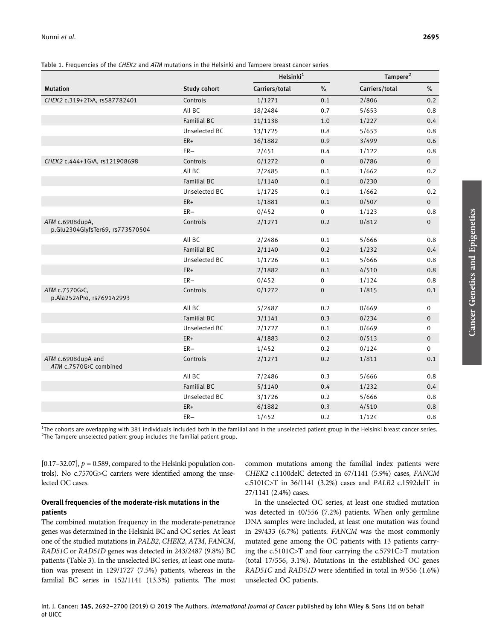| Table 1. Frequencies of the CHEK2 and ATM mutations in the Helsinki and Tampere breast cancer series |  |  |  |  |  |  |
|------------------------------------------------------------------------------------------------------|--|--|--|--|--|--|
|                                                                                                      |  |  |  |  |  |  |

|                                                     |                    | Helsinki <sup>1</sup> |                | Tampere <sup>2</sup> |                |
|-----------------------------------------------------|--------------------|-----------------------|----------------|----------------------|----------------|
| <b>Mutation</b>                                     | Study cohort       | Carriers/total        | %              | Carriers/total       | %              |
| CHEK2 c.319+2T>A, rs587782401                       | Controls           | 1/1271                | 0.1            | 2/806                | 0.2            |
|                                                     | All BC             | 18/2484               | 0.7            | 5/653                | 0.8            |
|                                                     | <b>Familial BC</b> | 11/1138               | 1.0            | 1/227                | 0.4            |
|                                                     | Unselected BC      | 13/1725               | 0.8            | 5/653                | 0.8            |
|                                                     | $ER+$              | 16/1882               | 0.9            | 3/499                | 0.6            |
|                                                     | $ER-$              | 2/451                 | 0.4            | 1/122                | 0.8            |
| CHEK2 c.444+1G>A, rs121908698                       | Controls           | 0/1272                | $\overline{0}$ | 0/786                | $\overline{0}$ |
|                                                     | All BC             | 2/2485                | 0.1            | 1/662                | 0.2            |
|                                                     | <b>Familial BC</b> | 1/1140                | 0.1            | 0/230                | $\overline{0}$ |
|                                                     | Unselected BC      | 1/1725                | 0.1            | 1/662                | 0.2            |
|                                                     | $ER+$              | 1/1881                | 0.1            | 0/507                | $\overline{0}$ |
|                                                     | $ER-$              | 0/452                 | $\mathbf{0}$   | 1/123                | 0.8            |
| ATM c.6908dupA,<br>p.Glu2304GlyfsTer69, rs773570504 | Controls           | 2/1271                | 0.2            | 0/812                | $\mathbf 0$    |
|                                                     | All BC             | 2/2486                | 0.1            | 5/666                | 0.8            |
|                                                     | <b>Familial BC</b> | 2/1140                | 0.2            | 1/232                | 0.4            |
|                                                     | Unselected BC      | 1/1726                | 0.1            | 5/666                | 0.8            |
|                                                     | $ER+$              | 2/1882                | 0.1            | 4/510                | 0.8            |
|                                                     | $ER-$              | 0/452                 | $\mathbf 0$    | 1/124                | 0.8            |
| ATM c.7570G>C,<br>p.Ala2524Pro, rs769142993         | Controls           | 0/1272                | $\mathbf{0}$   | 1/815                | 0.1            |
|                                                     | All BC             | 5/2487                | 0.2            | 0/669                | $\mathbf 0$    |
|                                                     | <b>Familial BC</b> | 3/1141                | 0.3            | 0/234                | $\mathbf 0$    |
|                                                     | Unselected BC      | 2/1727                | 0.1            | 0/669                | $\mathbf 0$    |
|                                                     | $ER+$              | 4/1883                | 0.2            | 0/513                | $\mathbf 0$    |
|                                                     | $ER-$              | 1/452                 | 0.2            | 0/124                | $\mathbf 0$    |
| ATM c.6908dupA and<br>ATM c.7570G>C combined        | Controls           | 2/1271                | 0.2            | 1/811                | 0.1            |
|                                                     | All BC             | 7/2486                | 0.3            | 5/666                | 0.8            |
|                                                     | <b>Familial BC</b> | 5/1140                | 0.4            | 1/232                | 0.4            |
|                                                     | Unselected BC      | 3/1726                | 0.2            | 5/666                | 0.8            |
|                                                     | $ER+$              | 6/1882                | 0.3            | 4/510                | 0.8            |
|                                                     | $ER-$              | 1/452                 | 0.2            | 1/124                | 0.8            |

<sup>1</sup>The cohorts are overlapping with 381 individuals included both in the familial and in the unselected patient group in the Helsinki breast cancer series.<br><sup>2</sup>The Tampere unselected patient group includes the familial pat  $2$ The Tampere unselected patient group includes the familial patient group.

[0.17–32.07],  $p = 0.589$ , compared to the Helsinki population controls). No c.7570G>C carriers were identified among the unselected OC cases.

#### Overall frequencies of the moderate-risk mutations in the patients

The combined mutation frequency in the moderate-penetrance genes was determined in the Helsinki BC and OC series. At least one of the studied mutations in PALB2, CHEK2, ATM, FANCM, RAD51C or RAD51D genes was detected in 243/2487 (9.8%) BC patients (Table 3). In the unselected BC series, at least one mutation was present in 129/1727 (7.5%) patients, whereas in the familial BC series in 152/1141 (13.3%) patients. The most

common mutations among the familial index patients were CHEK2 c.1100delC detected in 67/1141 (5.9%) cases, FANCM c.5101C>T in 36/1141 (3.2%) cases and PALB2 c.1592delT in 27/1141 (2.4%) cases.

In the unselected OC series, at least one studied mutation was detected in 40/556 (7.2%) patients. When only germline DNA samples were included, at least one mutation was found in 29/433 (6.7%) patients. FANCM was the most commonly mutated gene among the OC patients with 13 patients carrying the c.5101C>T and four carrying the c.5791C>T mutation (total 17/556, 3.1%). Mutations in the established OC genes RAD51C and RAD51D were identified in total in 9/556 (1.6%) unselected OC patients.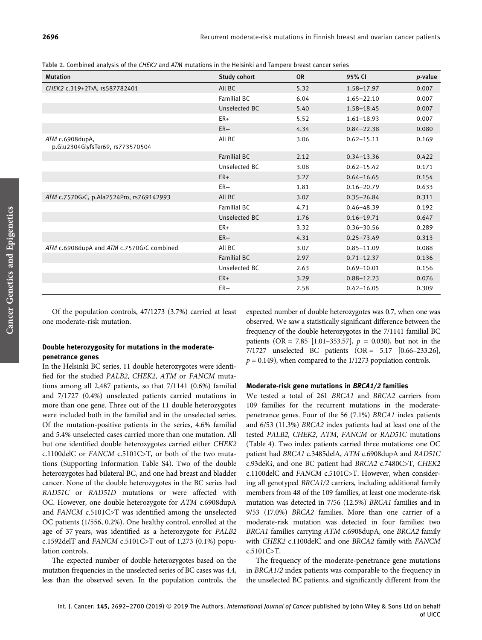Table 2. Combined analysis of the CHEK2 and ATM mutations in the Helsinki and Tampere breast cancer series

| <b>Mutation</b>                                     | Study cohort  | <b>OR</b> | 95% CI         | <i>p</i> -value |
|-----------------------------------------------------|---------------|-----------|----------------|-----------------|
| CHEK2 c.319+2T>A, rs587782401                       | All BC        | 5.32      | $1.58 - 17.97$ | 0.007           |
|                                                     | Familial BC   | 6.04      | $1.65 - 22.10$ | 0.007           |
|                                                     | Unselected BC | 5.40      | $1.58 - 18.45$ | 0.007           |
|                                                     | ER+           | 5.52      | $1.61 - 18.93$ | 0.007           |
|                                                     | $ER-$         | 4.34      | $0.84 - 22.38$ | 0.080           |
| ATM c.6908dupA,<br>p.Glu2304GlyfsTer69, rs773570504 | All BC        | 3.06      | $0.62 - 15.11$ | 0.169           |
|                                                     | Familial BC   | 2.12      | $0.34 - 13.36$ | 0.422           |
|                                                     | Unselected BC | 3.08      | $0.62 - 15.42$ | 0.171           |
|                                                     | ER+           | 3.27      | $0.64 - 16.65$ | 0.154           |
|                                                     | $ER-$         | 1.81      | $0.16 - 20.79$ | 0.633           |
| ATM c.7570G>C, p.Ala2524Pro, rs769142993            | All BC        | 3.07      | $0.35 - 26.84$ | 0.311           |
|                                                     | Familial BC   | 4.71      | $0.46 - 48.39$ | 0.192           |
|                                                     | Unselected BC | 1.76      | $0.16 - 19.71$ | 0.647           |
|                                                     | ER+           | 3.32      | $0.36 - 30.56$ | 0.289           |
|                                                     | $ER-$         | 4.31      | $0.25 - 73.49$ | 0.313           |
| ATM c.6908dupA and ATM c.7570G>C combined           | All BC        | 3.07      | $0.85 - 11.09$ | 0.088           |
|                                                     | Familial BC   | 2.97      | $0.71 - 12.37$ | 0.136           |
|                                                     | Unselected BC | 2.63      | $0.69 - 10.01$ | 0.156           |
|                                                     | $ER+$         | 3.29      | $0.88 - 12.23$ | 0.076           |
|                                                     | $ER-$         | 2.58      | $0.42 - 16.05$ | 0.309           |

Of the population controls, 47/1273 (3.7%) carried at least one moderate-risk mutation.

#### Double heterozygosity for mutations in the moderatepenetrance genes

In the Helsinki BC series, 11 double heterozygotes were identified for the studied PALB2, CHEK2, ATM or FANCM mutations among all 2,487 patients, so that 7/1141 (0.6%) familial and 7/1727 (0.4%) unselected patients carried mutations in more than one gene. Three out of the 11 double heterozygotes were included both in the familial and in the unselected series. Of the mutation-positive patients in the series, 4.6% familial and 5.4% unselected cases carried more than one mutation. All but one identified double heterozygotes carried either CHEK2 c.1100delC or FANCM c.5101C>T, or both of the two mutations (Supporting Information Table S4). Two of the double heterozygotes had bilateral BC, and one had breast and bladder cancer. None of the double heterozygotes in the BC series had RAD51C or RAD51D mutations or were affected with OC. However, one double heterozygote for ATM c.6908dupA and FANCM c.5101C>T was identified among the unselected OC patients (1/556, 0.2%). One healthy control, enrolled at the age of 37 years, was identified as a heterozygote for PALB2 c.1592delT and FANCM c.5101C>T out of 1,273 (0.1%) population controls.

The expected number of double heterozygotes based on the mutation frequencies in the unselected series of BC cases was 4.4, less than the observed seven. In the population controls, the expected number of double heterozygotes was 0.7, when one was observed. We saw a statistically significant difference between the frequency of the double heterozygotes in the 7/1141 familial BC patients (OR = 7.85 [1.01–353.57],  $p = 0.030$ ), but not in the 7/1727 unselected BC patients (OR = 5.17 [0.66–233.26],  $p = 0.149$ ), when compared to the 1/1273 population controls.

#### Moderate-risk gene mutations in BRCA1/2 families

We tested a total of 261 BRCA1 and BRCA2 carriers from 109 families for the recurrent mutations in the moderatepenetrance genes. Four of the 56 (7.1%) BRCA1 index patients and 6/53 (11.3%) BRCA2 index patients had at least one of the tested PALB2, CHEK2, ATM, FANCM or RAD51C mutations (Table 4). Two index patients carried three mutations: one OC patient had BRCA1 c.3485delA, ATM c.6908dupA and RAD51C c.93delG, and one BC patient had BRCA2 c.7480C>T, CHEK2 c.1100delC and FANCM c.5101C>T. However, when considering all genotyped BRCA1/2 carriers, including additional family members from 48 of the 109 families, at least one moderate-risk mutation was detected in 7/56 (12.5%) BRCA1 families and in 9/53 (17.0%) BRCA2 families. More than one carrier of a moderate-risk mutation was detected in four families: two BRCA1 families carrying ATM c.6908dupA, one BRCA2 family with CHEK2 c.1100delC and one BRCA2 family with FANCM c.5101C>T.

The frequency of the moderate-penetrance gene mutations in BRCA1/2 index patients was comparable to the frequency in the unselected BC patients, and significantly different from the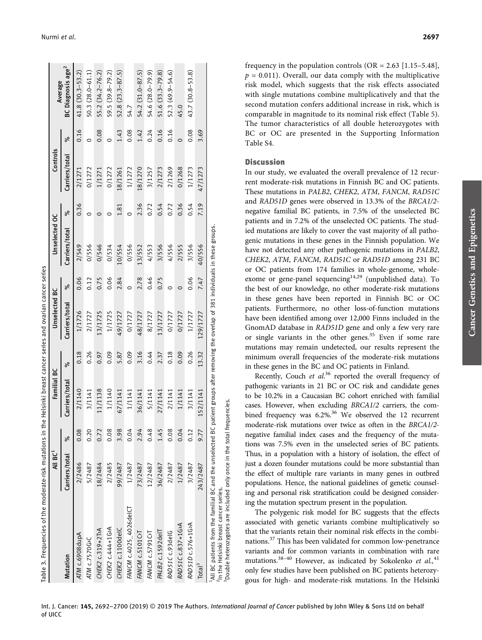|                                                                                                                                                                                                                                                              | All BC <sup>1</sup> |      | Familial BC    |       | Unselected BC  |         | Unselected OC  |      | Controls       |         | Average                       |
|--------------------------------------------------------------------------------------------------------------------------------------------------------------------------------------------------------------------------------------------------------------|---------------------|------|----------------|-------|----------------|---------|----------------|------|----------------|---------|-------------------------------|
| Mutation                                                                                                                                                                                                                                                     | Carriers/total      | ಸಿ   | Carriers/total | ೢೕ    | Carriers/total | ೢೕ      | Carriers/total | ಸಿ   | Carriers/total | ೢೕ      | BC Diagnosis age <sup>2</sup> |
| ATM c.6908dupA                                                                                                                                                                                                                                               | 2/2486              | 0.08 | 2/1140         | 0.18  | 1/1726         | 0.06    | 2/549          | 0.36 | 2/1271         | 0.16    | $41.8(30.3 - 53.2)$           |
| ATM c.7570G>C                                                                                                                                                                                                                                                | 5/2487              | 0.20 | 3/1141         | 0.26  | 2/1727         | 0.12    | 0/556          |      | 0/1272         | $\circ$ | $50.3(28.0 - 61.1)$           |
| CHEK2 c.319+2T>A                                                                                                                                                                                                                                             | 18/2484             | 0.72 | 11/1138        | 0.97  | 13/1725        | 0.75    | 0/546          |      | 1/1271         | 0.08    | 55.2 (34.2-76.2)              |
| CHEK2 c.444+1G>A                                                                                                                                                                                                                                             | 2/2485              | 0.08 | 1/1140         | 0.09  | 1/1725         | 0.06    | 0/534          |      | 0/1272         | Ć       | 59.5 (39.8-79.2)              |
| CHEK2 c.1100delC                                                                                                                                                                                                                                             | 99/2487             | 3.98 | 67/1141        | 5.87  | 49/1727        | 2.84    | 10/554         | 1.81 | 18/1261        | 1.43    | $52.8(23.3 - 87.5)$           |
| FANCM c.4025_4026delC                                                                                                                                                                                                                                        | 1/2487              | 0.04 | 1/1141         | 0.09  | 0/1727         | $\circ$ | 0/556          |      | 1/1272         | 0.08    | 54.7                          |
| FANCM c.5101C>T                                                                                                                                                                                                                                              | 73/2487             | 2.94 | 36/1141        | 3.16  | 48/1727        | 2.78    | 13/552         | 2.36 | 18/1270        | 1.42    | $54.2(31.0 - 87.5)$           |
| FANCM c.5791C>T                                                                                                                                                                                                                                              | 12/2487             | 0.48 | 5/1141         | 0.44  | 8/1727         | 0.46    | 4/553          | 0.72 | 3/1257         | 0.24    | $54.6(28.0 - 79.9)$           |
| PALB2 c.1592delT                                                                                                                                                                                                                                             | 36/2487             | 1.45 | 27/1141        | 2.37  | 13/1727        | 0.75    | 3/556          | 0.54 | 2/1273         | 0.16    | $51.6(33.3-79.8)$             |
| RAD51C c.93delG                                                                                                                                                                                                                                              | 2/2487              | 0.08 | 2/1141         | 0.18  | 0/1727         | 0       | 4/556          | 0.72 | 2/1269         | 0.16    | $52.3(49.9 - 54.6)$           |
| RAD51Cc.837+1G>A                                                                                                                                                                                                                                             | 1/2487              | 0.04 | 1/1141         | 0.09  | 0/1727         | 0       | 2/555          | 0.36 | 0/1268         | $\circ$ | 45.0                          |
| RAD51D c.576+1G>A                                                                                                                                                                                                                                            | 3/2487              | 0.12 | 3/1141         | 0.26  | 1/1727         | 0.06    | 3/556          | 0.54 | 1/1273         | 0.08    | 43.7 (30.8–53.8)              |
| Total <sup>3</sup>                                                                                                                                                                                                                                           | 243/2487            | 9.77 | 152/1141       | 13.32 | 129/1727       | 7.47    | 40/556         | 7.19 | 47/1273        | 3.69    |                               |
| "All BC patients from the familial BC and the unselected BC patient groups after removing the overlap of 381 individuals in these groups.<br>'Double heterozygotes are included only once in the total<br><sup>2</sup> In the Helsinki breast cancer series. |                     |      | frequencies.   |       |                |         |                |      |                |         |                               |

frequency in the population controls  $(OR = 2.63 [1.15-5.48])$ ,  $p = 0.011$ ). Overall, our data comply with the multiplicative risk model, which suggests that the risk effects associated with single mutations combine multiplicatively and that the second mutation confers additional increase in risk, which is comparable in magnitude to its nominal risk effect (Table 5). The tumor characteristics of all double heterozygotes with BC or OC are presented in the Supporting Information Table S4.

#### **Discussion**

In our study, we evaluated the overall prevalence of 12 recurrent moderate-risk mutations in Finnish BC and OC patients. These mutations in PALB2, CHEK2, ATM, FANCM, RAD51C and RAD51D genes were observed in 13.3% of the BRCA1/2 negative familial BC patients, in 7.5% of the unselected BC patients and in 7.2% of the unselected OC patients. The studied mutations are likely to cover the vast majority of all pathogenic mutations in these genes in the Finnish population. We have not detected any other pathogenic mutations in PALB2, CHEK2, ATM, FANCM, RAD51C or RAD51D among 231 BC or OC patients from 174 families in whole-genome, wholeexome or gene-panel sequencing<sup>14,29</sup> (unpublished data). To the best of our knowledge, no other moderate-risk mutations in these genes have been reported in Finnish BC or OC patients. Furthermore, no other loss-of-function mutations have been identified among over 12,000 Finns included in the GnomAD database in RAD51D gene and only a few very rare or single variants in the other genes.<sup>35</sup> Even if some rare mutations may remain undetected, our results represent the minimum overall frequencies of the moderate-risk mutations in these genes in the BC and OC patients in Finland.

Recently, Couch et al.<sup>36</sup> reported the overall frequency of pathogenic variants in 21 BC or OC risk and candidate genes to be 10.2% in a Caucasian BC cohort enriched with familial cases. However, when excluding BRCA1/2 carriers, the combined frequency was 6.2%.<sup>36</sup> We observed the 12 recurrent moderate-risk mutations over twice as often in the BRCA1/2 negative familial index cases and the frequency of the mutations was 7.5% even in the unselected series of BC patients. Thus, in a population with a history of isolation, the effect of just a dozen founder mutations could be more substantial than the effect of multiple rare variants in many genes in outbred populations. Hence, the national guidelines of genetic counseling and personal risk stratification could be designed considering the mutation spectrum present in the population.

The polygenic risk model for BC suggests that the effects associated with genetic variants combine multiplicatively so that the variants retain their nominal risk effects in the combinations.<sup>37</sup> This has been validated for common low-penetrance variants and for common variants in combination with rare mutations.<sup>38-40</sup> However, as indicated by Sokolenko et al.,<sup>41</sup> only few studies have been published on BC patients heterozygous for high- and moderate-risk mutations. In the Helsinki

Int. J. Cancer: 145, 2692-2700 (2019) © 2019 The Authors. International Journal of Cancer published by John Wiley & Sons Ltd on behalf of UICC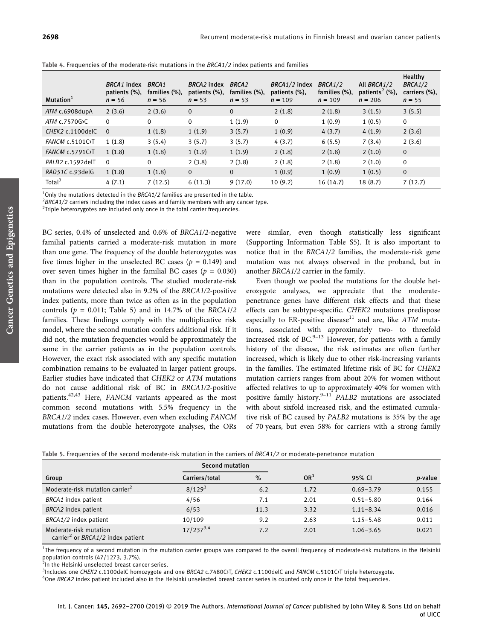| Mutation <sup>1</sup>     | BRCA <sub>1</sub> index<br>patients (%),<br>$n = 56$ | <b>BRCA1</b><br>families (%),<br>$n = 56$ | BRCA <sub>2</sub> index<br>patients (%),<br>$n = 53$ | <b>BRCA2</b><br>families (%),<br>$n = 53$ | BRCA1/2 index<br>patients (%),<br>$n = 109$ | BRCA1/2<br>families (%),<br>$n = 109$ | All BRCA1/2<br>patients <sup>2</sup> (%),<br>$n = 206$ | Healthy<br>BRCA1/2<br>carriers (%),<br>$n = 55$ |
|---------------------------|------------------------------------------------------|-------------------------------------------|------------------------------------------------------|-------------------------------------------|---------------------------------------------|---------------------------------------|--------------------------------------------------------|-------------------------------------------------|
| ATM c.6908dupA            | 2(3.6)                                               | 2(3.6)                                    | $\overline{0}$                                       | $\mathbf{0}$                              | 2(1.8)                                      | 2(1.8)                                | 3(1.5)                                                 | 3(5.5)                                          |
| ATM c.7570G>C             | $\Omega$                                             | 0                                         | $\Omega$                                             | 1(1.9)                                    | $\mathbf 0$                                 | 1(0.9)                                | 1(0.5)                                                 | $\mathbf 0$                                     |
| CHEK2 c.1100delC          | $\Omega$                                             | 1(1.8)                                    | 1(1.9)                                               | 3(5.7)                                    | 1(0.9)                                      | 4(3.7)                                | 4(1.9)                                                 | 2(3.6)                                          |
| FANCM c.5101C>T           | 1(1.8)                                               | 3(5.4)                                    | 3(5.7)                                               | 3(5.7)                                    | 4(3.7)                                      | 6(5.5)                                | 7(3.4)                                                 | 2(3.6)                                          |
| <b>FANCM c.5791C&gt;T</b> | 1(1.8)                                               | 1(1.8)                                    | 1(1.9)                                               | 1(1.9)                                    | 2(1.8)                                      | 2(1.8)                                | 2(1.0)                                                 | $\mathbf{0}$                                    |
| PALB2 c.1592delT          | $\Omega$                                             | $\Omega$                                  | 2(3.8)                                               | 2(3.8)                                    | 2(1.8)                                      | 2(1.8)                                | 2(1.0)                                                 | $\mathbf 0$                                     |
| RAD51C c.93delG           | 1(1.8)                                               | 1(1.8)                                    | $\overline{0}$                                       | $\Omega$                                  | 1(0.9)                                      | 1(0.9)                                | 1(0.5)                                                 | $\overline{0}$                                  |
| Total <sup>3</sup>        | 4(7.1)                                               | 7(12.5)                                   | 6(11.3)                                              | 9(17.0)                                   | 10(9.2)                                     | 16(14.7)                              | 18(8.7)                                                | 7(12.7)                                         |

Table 4. Frequencies of the moderate-risk mutations in the BRCA1/2 index patients and families

<sup>1</sup>Only the mutations detected in the *BRCA1/2* families are presented in the table.<br><sup>2</sup>BBCA1/2 carriors including the index cases and family members with any sanse

 ${}^{2}$ BRCA1/2 carriers including the index cases and family members with any cancer type.

 $3$ Triple heterozygotes are included only once in the total carrier frequencies.

BC series, 0.4% of unselected and 0.6% of BRCA1/2-negative familial patients carried a moderate-risk mutation in more than one gene. The frequency of the double heterozygotes was five times higher in the unselected BC cases ( $p = 0.149$ ) and over seven times higher in the familial BC cases ( $p = 0.030$ ) than in the population controls. The studied moderate-risk mutations were detected also in 9.2% of the BRCA1/2-positive index patients, more than twice as often as in the population controls ( $p = 0.011$ ; Table 5) and in 14.7% of the BRCA1/2 families. These findings comply with the multiplicative risk model, where the second mutation confers additional risk. If it did not, the mutation frequencies would be approximately the same in the carrier patients as in the population controls. However, the exact risk associated with any specific mutation combination remains to be evaluated in larger patient groups. Earlier studies have indicated that CHEK2 or ATM mutations do not cause additional risk of BC in BRCA1/2-positive patients.<sup>42,43</sup> Here, FANCM variants appeared as the most common second mutations with 5.5% frequency in the BRCA1/2 index cases. However, even when excluding FANCM mutations from the double heterozygote analyses, the ORs

were similar, even though statistically less significant (Supporting Information Table S5). It is also important to notice that in the BRCA1/2 families, the moderate-risk gene mutation was not always observed in the proband, but in another BRCA1/2 carrier in the family.

Even though we pooled the mutations for the double heterozygote analyses, we appreciate that the moderatepenetrance genes have different risk effects and that these effects can be subtype-specific. CHEK2 mutations predispose especially to ER-positive disease<sup>11</sup> and are, like  $\overline{ATM}$  mutations, associated with approximately two- to threefold increased risk of BC. $9-13$  However, for patients with a family history of the disease, the risk estimates are often further increased, which is likely due to other risk-increasing variants in the families. The estimated lifetime risk of BC for CHEK2 mutation carriers ranges from about 20% for women without affected relatives to up to approximately 40% for women with positive family history.<sup>9-11</sup> PALB2 mutations are associated with about sixfold increased risk, and the estimated cumulative risk of BC caused by PALB2 mutations is 35% by the age of 70 years, but even 58% for carriers with a strong family

| Table 5. Frequencies of the second moderate-risk mutation in the carriers of <i>BRCA1/2</i> or moderate-penetrance mutation |  |  |  |  |
|-----------------------------------------------------------------------------------------------------------------------------|--|--|--|--|
|-----------------------------------------------------------------------------------------------------------------------------|--|--|--|--|

|                                                                                | Second mutation |      |                 |               |                 |
|--------------------------------------------------------------------------------|-----------------|------|-----------------|---------------|-----------------|
| Group                                                                          | Carriers/total  | $\%$ | OR <sup>1</sup> | 95% CI        | <i>p</i> -value |
| Moderate-risk mutation carrier <sup>2</sup>                                    | $8/129^{3}$     | 6.2  | 1.72            | $0.69 - 3.79$ | 0.155           |
| BRCA1 index patient                                                            | 4/56            | 7.1  | 2.01            | $0.51 - 5.80$ | 0.164           |
| BRCA2 index patient                                                            | 6/53            | 11.3 | 3.32            | $1.11 - 8.34$ | 0.016           |
| BRCA1/2 index patient                                                          | 10/109          | 9.2  | 2.63            | $1.15 - 5.48$ | 0.011           |
| Moderate-risk mutation<br>carrier <sup>2</sup> or <i>BRCA1/2</i> index patient | $17/237^{3,4}$  | 7.2  | 2.01            | $1.06 - 3.65$ | 0.021           |

<sup>1</sup>The frequency of a second mutation in the mutation carrier groups was compared to the overall frequency of moderate-risk mutations in the Helsinki population controls (47/1273, 3.7%).

<sup>2</sup>In the Helsinki unselected breast cancer series.

 $^{3}$ Includes one CHEK2 c.1100delC homozygote and one BRCA2 c.7480C $\overline{J}$ , CHEK2 c.1100delC and FANCM c.5101C $\overline{J}$  triple heterozygote.<br> $^{4}$ One BBCA2 index patient included also in the Helsinki uncelested breast san

<sup>4</sup>One BRCA2 index patient included also in the Helsinki unselected breast cancer series is counted only once in the total frequencies.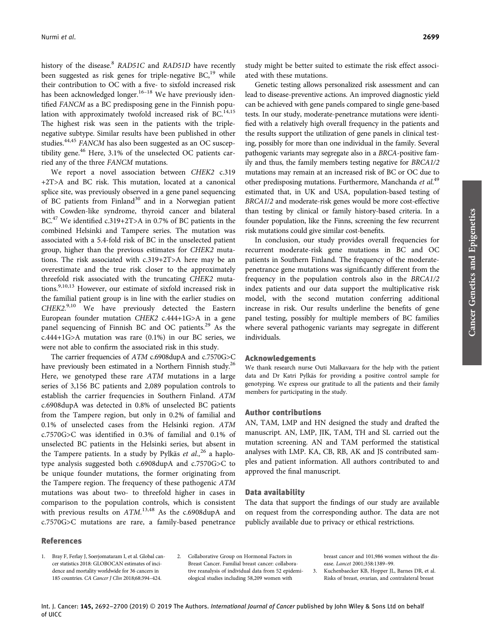history of the disease.<sup>8</sup> RAD51C and RAD51D have recently been suggested as risk genes for triple-negative  $BC<sub>19</sub>$  while their contribution to OC with a five- to sixfold increased risk has been acknowledged longer.<sup>16–18</sup> We have previously identified FANCM as a BC predisposing gene in the Finnish population with approximately twofold increased risk of BC.<sup>14,15</sup> The highest risk was seen in the patients with the triplenegative subtype. Similar results have been published in other studies.44,45 FANCM has also been suggested as an OC susceptibility gene.<sup>46</sup> Here, 3.1% of the unselected OC patients carried any of the three FANCM mutations.

We report a novel association between CHEK2 c.319 +2T>A and BC risk. This mutation, located at a canonical splice site, was previously observed in a gene panel sequencing of BC patients from Finland<sup>30</sup> and in a Norwegian patient with Cowden-like syndrome, thyroid cancer and bilateral BC.<sup>47</sup> We identified c.319+2T>A in 0.7% of BC patients in the combined Helsinki and Tampere series. The mutation was associated with a 5.4-fold risk of BC in the unselected patient group, higher than the previous estimates for CHEK2 mutations. The risk associated with c.319+2T>A here may be an overestimate and the true risk closer to the approximately threefold risk associated with the truncating CHEK2 mutations.<sup>9,10,13</sup> However, our estimate of sixfold increased risk in the familial patient group is in line with the earlier studies on CHEK2.9,10 We have previously detected the Eastern European founder mutation CHEK2 c.444+1G>A in a gene panel sequencing of Finnish BC and OC patients.<sup>29</sup> As the c.444+1G>A mutation was rare  $(0.1\%)$  in our BC series, we were not able to confirm the associated risk in this study.

The carrier frequencies of ATM c.6908dupA and c.7570G>C have previously been estimated in a Northern Finnish study.<sup>26</sup> Here, we genotyped these rare ATM mutations in a large series of 3,156 BC patients and 2,089 population controls to establish the carrier frequencies in Southern Finland. ATM c.6908dupA was detected in 0.8% of unselected BC patients from the Tampere region, but only in 0.2% of familial and 0.1% of unselected cases from the Helsinki region. ATM c.7570G>C was identified in 0.3% of familial and 0.1% of unselected BC patients in the Helsinki series, but absent in the Tampere patients. In a study by Pylkäs et  $al$ ,  $^{26}$  a haplotype analysis suggested both c.6908dupA and c.7570G>C to be unique founder mutations, the former originating from the Tampere region. The frequency of these pathogenic ATM mutations was about two- to threefold higher in cases in comparison to the population controls, which is consistent with previous results on  $ATM$ .<sup>13,48</sup> As the c.6908dupA and c.7570G>C mutations are rare, a family-based penetrance

study might be better suited to estimate the risk effect associated with these mutations.

Genetic testing allows personalized risk assessment and can lead to disease-preventive actions. An improved diagnostic yield can be achieved with gene panels compared to single gene-based tests. In our study, moderate-penetrance mutations were identified with a relatively high overall frequency in the patients and the results support the utilization of gene panels in clinical testing, possibly for more than one individual in the family. Several pathogenic variants may segregate also in a BRCA-positive family and thus, the family members testing negative for BRCA1/2 mutations may remain at an increased risk of BC or OC due to other predisposing mutations. Furthermore, Manchanda et al.<sup>49</sup> estimated that, in UK and USA, population-based testing of BRCA1/2 and moderate-risk genes would be more cost-effective than testing by clinical or family history-based criteria. In a founder population, like the Finns, screening the few recurrent risk mutations could give similar cost-benefits.

In conclusion, our study provides overall frequencies for recurrent moderate-risk gene mutations in BC and OC patients in Southern Finland. The frequency of the moderatepenetrance gene mutations was significantly different from the frequency in the population controls also in the BRCA1/2 index patients and our data support the multiplicative risk model, with the second mutation conferring additional increase in risk. Our results underline the benefits of gene panel testing, possibly for multiple members of BC families where several pathogenic variants may segregate in different individuals.

#### Acknowledgements

We thank research nurse Outi Malkavaara for the help with the patient data and Dr Katri Pylkäs for providing a positive control sample for genotyping. We express our gratitude to all the patients and their family members for participating in the study.

#### Author contributions

AN, TAM, LMP and HN designed the study and drafted the manuscript. AN, LMP, JIK, TAM, TH and SL carried out the mutation screening. AN and TAM performed the statistical analyses with LMP. KA, CB, RB, AK and JS contributed samples and patient information. All authors contributed to and approved the final manuscript.

#### Data availability

The data that support the findings of our study are available on request from the corresponding author. The data are not publicly available due to privacy or ethical restrictions.

#### References

- 1. Bray F, Ferlay J, Soerjomataram I, et al. Global cancer statistics 2018: GLOBOCAN estimates of incidence and mortality worldwide for 36 cancers in 185 countries. CA Cancer J Clin 2018;68:394–424.
- 2. Collaborative Group on Hormonal Factors in Breast Cancer. Familial breast cancer: collaborative reanalysis of individual data from 52 epidemiological studies including 58,209 women with
- breast cancer and 101,986 women without the disease. Lancet 2001;358:1389–99.
- 3. Kuchenbaecker KB, Hopper JL, Barnes DR, et al. Risks of breast, ovarian, and contralateral breast

Int. J. Cancer: 145, 2692-2700 (2019) © 2019 The Authors. International Journal of Cancer published by John Wiley & Sons Ltd on behalf of UICC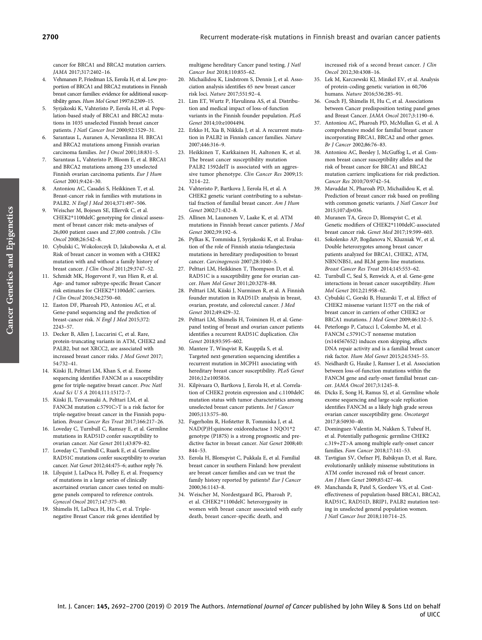cancer for BRCA1 and BRCA2 mutation carriers. JAMA 2017;317:2402–16.

- 4. Vehmanen P, Friedman LS, Eerola H, et al. Low proportion of BRCA1 and BRCA2 mutations in Finnish breast cancer families: evidence for additional susceptibility genes. Hum Mol Genet 1997;6:2309–15.
- 5. Syrjakoski K, Vahteristo P, Eerola H, et al. Population-based study of BRCA1 and BRCA2 mutations in 1035 unselected Finnish breast cancer patients. J Natl Cancer Inst 2000;92:1529–31.
- 6. Sarantaus L, Auranen A, Nevanlinna H. BRCA1 and BRCA2 mutations among Finnish ovarian carcinoma families. Int J Oncol 2001;18:831–5.
- 7. Sarantaus L, Vahteristo P, Bloom E, et al. BRCA1 and BRCA2 mutations among 233 unselected Finnish ovarian carcinoma patients. Eur J Hum Genet 2001;9:424–30.
- 8. Antoniou AC, Casadei S, Heikkinen T, et al. Breast-cancer risk in families with mutations in PALB2. N Engl J Med 2014;371:497–506.
- 9. Weischer M, Bojesen SE, Ellervik C, et al. CHEK2\*1100delC genotyping for clinical assessment of breast cancer risk: meta-analyses of 26,000 patient cases and 27,000 controls. J Clin Oncol 2008;26:542–8.
- 10. Cybulski C, Wokolorczyk D, Jakubowska A, et al. Risk of breast cancer in women with a CHEK2 mutation with and without a family history of breast cancer. J Clin Oncol 2011;29:3747–52.
- 11. Schmidt MK, Hogervorst F, van Hien R, et al. Age- and tumor subtype-specific Breast Cancer risk estimates for CHEK2\*1100delC carriers. J Clin Oncol 2016;34:2750–60.
- 12. Easton DF, Pharoah PD, Antoniou AC, et al. Gene-panel sequencing and the prediction of breast-cancer risk. N Engl J Med 2015;372: 2243–57.
- 13. Decker B, Allen J, Luccarini C, et al. Rare, protein-truncating variants in ATM, CHEK2 and PALB2, but not XRCC2, are associated with increased breast cancer risks. J Med Genet 2017; 54:732–41.
- 14. Kiiski JI, Pelttari LM, Khan S, et al. Exome sequencing identifies FANCM as a susceptibility gene for triple-negative breast cancer. Proc Natl Acad Sci U S A 2014;111:15172–7.
- 15. Kiiski JI, Tervasmaki A, Pelttari LM, et al. FANCM mutation c.5791C>T is a risk factor for triple-negative breast cancer in the Finnish population. Breast Cancer Res Treat 2017;166:217–26.
- 16. Loveday C, Turnbull C, Ramsay E, et al. Germline mutations in RAD51D confer susceptibility to ovarian cancer. Nat Genet 2011;43:879–82.
- 17. Loveday C, Turnbull C, Ruark E, et al. Germline RAD51C mutations confer susceptibility to ovarian cancer. Nat Genet 2012;44:475–6; author reply 76.
- 18. Lilyquist J, LaDuca H, Polley E, et al. Frequency of mutations in a large series of clinically ascertained ovarian cancer cases tested on multigene panels compared to reference controls. Gynecol Oncol 2017;147:375–80.
- 19. Shimelis H, LaDuca H, Hu C, et al. Triplenegative Breast Cancer risk genes identified by

multigene hereditary Cancer panel testing. J Natl Cancer Inst 2018;110:855–62.

- 20. Michailidou K, Lindstrom S, Dennis J, et al. Association analysis identifies 65 new breast cancer risk loci. Nature 2017;551:92–4.
- 21. Lim FT, Wurtz P, Havulinna AS, et al. Distribution and medical impact of loss-of-function variants in the Finnish founder population. PLoS Genet 2014;10:e1004494.
- 22. Erkko H, Xia B, Nikkila J, et al. A recurrent mutation in PALB2 in Finnish cancer families. Nature 2007;446:316–9.
- 23. Heikkinen T, Karkkainen H, Aaltonen K, et al. The breast cancer susceptibility mutation PALB2 1592delT is associated with an aggressive tumor phenotype. Clin Cancer Res 2009;15: 3214–22.
- 24. Vahteristo P, Bartkova J, Eerola H, et al. A CHEK2 genetic variant contributing to a substantial fraction of familial breast cancer. Am J Hum Genet 2002;71:432–8.
- 25. Allinen M, Launonen V, Laake K, et al. ATM mutations in Finnish breast cancer patients. J Med Genet 2002;39:192–6.
- 26. Pylkas K, Tommiska J, Syrjakoski K, et al. Evaluation of the role of Finnish ataxia-telangiectasia mutations in hereditary predisposition to breast cancer. Carcinogenesis 2007;28:1040–5.
- 27. Pelttari LM, Heikkinen T, Thompson D, et al. RAD51C is a susceptibility gene for ovarian cancer. Hum Mol Genet 2011;20:3278–88.
- 28. Pelttari LM, Kiiski J, Nurminen R, et al. A Finnish founder mutation in RAD51D: analysis in breast, ovarian, prostate, and colorectal cancer. J Med Genet 2012;49:429–32.
- 29. Pelttari LM, Shimelis H, Toiminen H, et al. Genepanel testing of breast and ovarian cancer patients identifies a recurrent RAD51C duplication. Clin Genet 2018;93:595–602.
- 30. Mantere T, Winqvist R, Kauppila S, et al. Targeted next-generation sequencing identifies a recurrent mutation in MCPH1 associating with hereditary breast cancer susceptibility. PLoS Genet 2016;12:e1005816.
- 31. Kilpivaara O, Bartkova J, Eerola H, et al. Correlation of CHEK2 protein expression and c.1100delC mutation status with tumor characteristics among unselected breast cancer patients. Int J Cancer 2005;113:575–80.
- 32. Fagerholm R, Hofstetter B, Tommiska J, et al. NAD(P)H:quinone oxidoreductase 1 NQO1\*2 genotype (P187S) is a strong prognostic and predictive factor in breast cancer. Nat Genet 2008;40: 844–53.
- 33. Eerola H, Blomqvist C, Pukkala E, et al. Familial breast cancer in southern Finland: how prevalent are breast cancer families and can we trust the family history reported by patients? Eur J Cancer 2000;36:1143–8.
- 34. Weischer M, Nordestgaard BG, Pharoah P, et al. CHEK2\*1100delC heterozygosity in women with breast cancer associated with early death, breast cancer-specific death, and

increased risk of a second breast cancer. J Clin Oncol 2012;30:4308–16.

- 35. Lek M, Karczewski KJ, Minikel EV, et al. Analysis of protein-coding genetic variation in 60,706 humans. Nature 2016;536:285–91.
- 36. Couch FJ, Shimelis H, Hu C, et al. Associations between Cancer predisposition testing panel genes and Breast Cancer. JAMA Oncol 2017;3:1190–6.
- 37. Antoniou AC, Pharoah PD, McMullan G, et al. A comprehensive model for familial breast cancer incorporating BRCA1, BRCA2 and other genes. Br J Cancer 2002;86:76–83.
- 38. Antoniou AC, Beesley J, McGuffog L, et al. Common breast cancer susceptibility alleles and the risk of breast cancer for BRCA1 and BRCA2 mutation carriers: implications for risk prediction. Cancer Res 2010;70:9742–54.
- 39. Mavaddat N, Pharoah PD, Michailidou K, et al. Prediction of breast cancer risk based on profiling with common genetic variants. J Natl Cancer Inst 2015;107:djv036.
- Muranen TA, Greco D, Blomqvist C, et al. Genetic modifiers of CHEK2\*1100delC-associated breast cancer risk. Genet Med 2017;19:599–603.
- 41. Sokolenko AP, Bogdanova N, Kluzniak W, et al. Double heterozygotes among breast cancer patients analyzed for BRCA1, CHEK2, ATM, NBN/NBS1, and BLM germ-line mutations. Breast Cancer Res Treat 2014;145:553–62.
- 42. Turnbull C, Seal S, Renwick A, et al. Gene-gene interactions in breast cancer susceptibility. Hum Mol Genet 2012;21:958–62.
- 43. Cybulski C, Gorski B, Huzarski T, et al. Effect of CHEK2 missense variant I157T on the risk of breast cancer in carriers of other CHEK2 or BRCA1 mutations. J Med Genet 2009;46:132–5.
- 44. Peterlongo P, Catucci I, Colombo M, et al. FANCM c.5791C>T nonsense mutation (rs144567652) induces exon skipping, affects DNA repair activity and is a familial breast cancer risk factor. Hum Mol Genet 2015;24:5345–55.
- 45. Neidhardt G, Hauke J, Ramser J, et al. Association between loss-of-function mutations within the FANCM gene and early-onset familial breast cancer. JAMA Oncol 2017;3:1245–8.
- 46. Dicks E, Song H, Ramus SJ, et al. Germline whole exome sequencing and large-scale replication identifies FANCM as a likely high grade serous ovarian cancer susceptibility gene. Oncotarget 2017;8:50930–40.
- 47. Dominguez-Valentin M, Nakken S, Tubeuf H, et al. Potentially pathogenic germline CHEK2 c.319+2T>A among multiple early-onset cancer families. Fam Cancer 2018;17:141–53.
- 48. Tavtigian SV, Oefner PJ, Babikyan D, et al. Rare, evolutionarily unlikely missense substitutions in ATM confer increased risk of breast cancer. Am J Hum Genet 2009;85:427–46.
- 49. Manchanda R, Patel S, Gordeev VS, et al. Costeffectiveness of population-based BRCA1, BRCA2, RAD51C, RAD51D, BRIP1, PALB2 mutation testing in unselected general population women. J Natl Cancer Inst 2018;110:714–25.